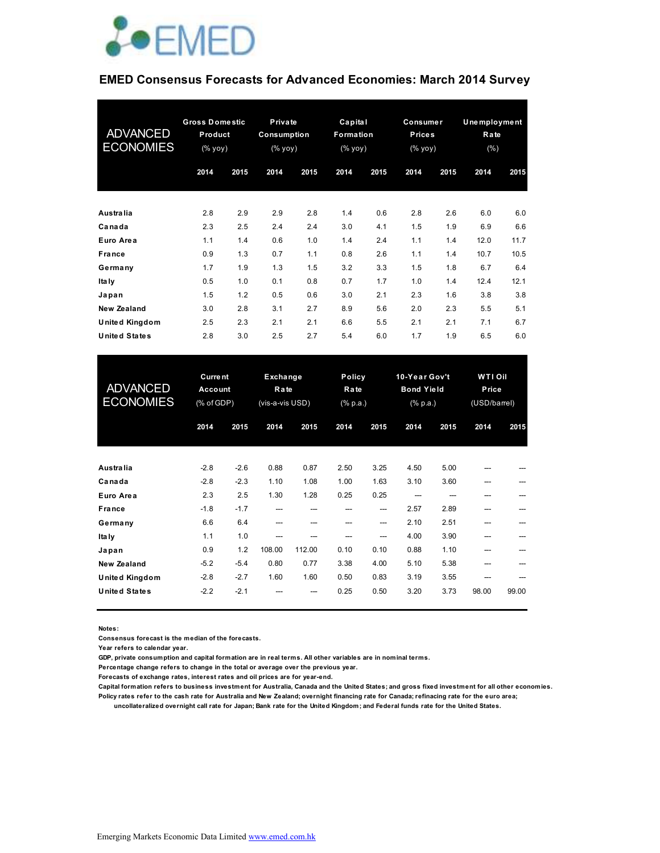

#### **EMED Consensus Forecasts for Advanced Economies: March 2014 Survey**

| <b>ADVANCED</b><br><b>ECONOMIES</b> | <b>Gross Domestic</b><br>Product<br>(% yoy) |      | Private<br>Consumption<br>(% yoy) |      | Capital<br>Formation<br>$(\%$ yoy) |      | Consumer<br><b>Prices</b><br>(% yoy) |      | Unemployment<br>Rate<br>(%) |      |
|-------------------------------------|---------------------------------------------|------|-----------------------------------|------|------------------------------------|------|--------------------------------------|------|-----------------------------|------|
|                                     | 2014                                        | 2015 | 2014                              | 2015 | 2014                               | 2015 | 2014                                 | 2015 | 2014                        | 2015 |
| Australia                           | 2.8                                         | 2.9  | 2.9                               | 2.8  | 1.4                                | 0.6  | 2.8                                  | 2.6  | 6.0                         | 6.0  |
| Canada                              | 2.3                                         | 2.5  | 2.4                               | 2.4  | 3.0                                | 4.1  | 1.5                                  | 1.9  | 6.9                         | 6.6  |
| Euro Area                           | 1.1                                         | 1.4  | 0.6                               | 1.0  | 1.4                                | 2.4  | 1.1                                  | 1.4  | 12.0                        | 11.7 |
| France                              | 0.9                                         | 1.3  | 0.7                               | 1.1  | 0.8                                | 2.6  | 1.1                                  | 1.4  | 10.7                        | 10.5 |
| Germany                             | 1.7                                         | 1.9  | 1.3                               | 1.5  | 3.2                                | 3.3  | 1.5                                  | 1.8  | 6.7                         | 6.4  |
| <b>Italy</b>                        | 0.5                                         | 1.0  | 0.1                               | 0.8  | 0.7                                | 1.7  | 1.0                                  | 1.4  | 12.4                        | 12.1 |
| Japan                               | 1.5                                         | 1.2  | 0.5                               | 0.6  | 3.0                                | 2.1  | 2.3                                  | 1.6  | 3.8                         | 3.8  |
| New Zealand                         | 3.0                                         | 2.8  | 3.1                               | 2.7  | 8.9                                | 5.6  | 2.0                                  | 2.3  | 5.5                         | 5.1  |
| United Kingdom                      | 2.5                                         | 2.3  | 2.1                               | 2.1  | 6.6                                | 5.5  | 2.1                                  | 2.1  | 7.1                         | 6.7  |
| <b>United States</b>                | 2.8                                         | 3.0  | 2.5                               | 2.7  | 5.4                                | 6.0  | 1.7                                  | 1.9  | 6.5                         | 6.0  |

| <b>ADVANCED</b><br><b>ECONOMIES</b> | <b>Current</b><br>Account<br>(% of GDP) |        | Policy<br>Exchange<br>Rate<br>Rate<br>(vis-a-vis USD)<br>$(% \mathbb{R}^2)$ (% p.a.) |        |      | 10-Year Gov't<br><b>Bond Yield</b><br>$(% \mathbb{R}^2)$ (% p.a.) |      | WTI Oil<br>Price<br>(USD/barrel) |       |       |
|-------------------------------------|-----------------------------------------|--------|--------------------------------------------------------------------------------------|--------|------|-------------------------------------------------------------------|------|----------------------------------|-------|-------|
|                                     | 2014                                    | 2015   | 2014                                                                                 | 2015   | 2014 | 2015                                                              | 2014 | 2015                             | 2014  | 2015  |
| Australia                           | $-2.8$                                  | $-2.6$ | 0.88                                                                                 | 0.87   | 2.50 | 3.25                                                              | 4.50 | 5.00                             |       |       |
| Canada                              | $-2.8$                                  | $-2.3$ | 1.10                                                                                 | 1.08   | 1.00 | 1.63                                                              | 3.10 | 3.60                             | ---   |       |
| Euro Area                           | 2.3                                     | 2.5    | 1.30                                                                                 | 1.28   | 0.25 | 0.25                                                              |      |                                  |       |       |
| France                              | $-1.8$                                  | $-1.7$ | ---                                                                                  | ---    | ---  | ---                                                               | 2.57 | 2.89                             | ---   |       |
| Germany                             | 6.6                                     | 6.4    | ---                                                                                  | ---    | ---  | ---                                                               | 2.10 | 2.51                             | ---   |       |
| Ita Iy                              | 1.1                                     | 1.0    | ---                                                                                  |        |      | ---                                                               | 4.00 | 3.90                             |       |       |
| Japan                               | 0.9                                     | 1.2    | 108.00                                                                               | 112.00 | 0.10 | 0.10                                                              | 0.88 | 1.10                             |       |       |
| New Zealand                         | $-5.2$                                  | $-5.4$ | 0.80                                                                                 | 0.77   | 3.38 | 4.00                                                              | 5.10 | 5.38                             | ---   |       |
| <b>United Kingdom</b>               | $-2.8$                                  | $-2.7$ | 1.60                                                                                 | 1.60   | 0.50 | 0.83                                                              | 3.19 | 3.55                             | ---   |       |
| United States                       | $-2.2$                                  | $-2.1$ |                                                                                      |        | 0.25 | 0.50                                                              | 3.20 | 3.73                             | 98.00 | 99.00 |

**Notes:** 

**Consensus forecast is the median of the forecasts.**

**Year refers to calendar year.**

**GDP, private consumption and capital formation are in real terms. All other variables are in nominal terms.**

**Percentage change refers to change in the total or average over the previous year.**

**Forecasts of exchange rates, interest rates and oil prices are for year-end.**

**Capital formation refers to business investment for Australia, Canada and the United States; and gross fixed investment for all other economies. Policy rates refer to the cash rate for Australia and New Zealand; overnight financing rate for Canada; refinacing rate for the euro area;** 

 **uncollateralized overnight call rate for Japan; Bank rate for the United Kingdom; and Federal funds rate for the United States.**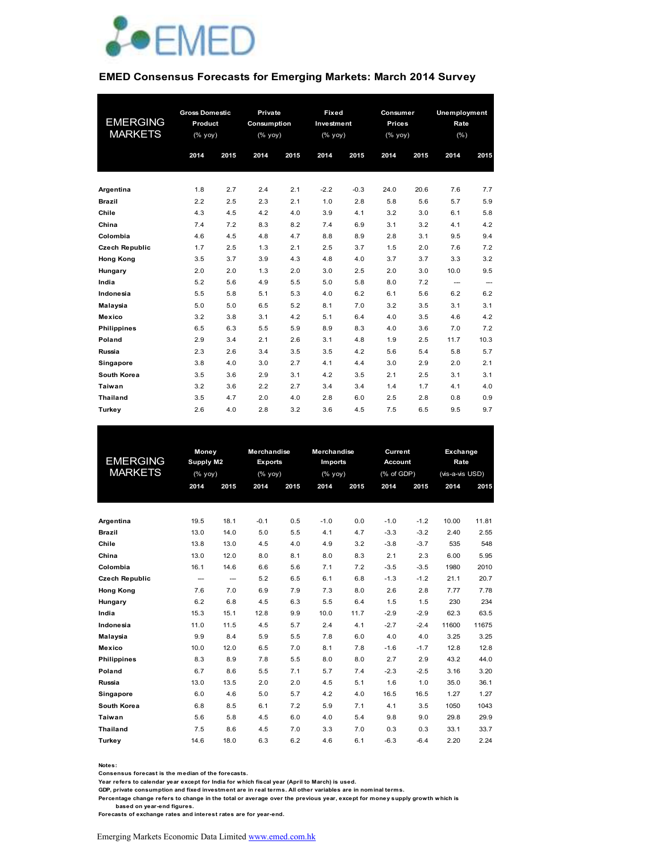

#### **EMED Consensus Forecasts for Emerging Markets: March 2014 Survey**

|                        | <b>Gross Domestic</b> |            | Private      |            | Fixed      |            | Consumer      |            | <b>Unemployment</b> |             |
|------------------------|-----------------------|------------|--------------|------------|------------|------------|---------------|------------|---------------------|-------------|
| <b>EMERGING</b>        | Product               |            | Consumption  |            | Investment |            | <b>Prices</b> |            | Rate                |             |
| <b>MARKETS</b>         | $(%$ (% yoy)          |            | $(%$ (% yoy) |            | $(%$ yoy)  |            | (% yoy)       |            | (% )                |             |
|                        | 2014                  | 2015       | 2014         | 2015       | 2014       | 2015       | 2014          | 2015       | 2014                | 2015        |
|                        |                       |            |              |            |            |            |               |            |                     |             |
| Argentina              | 1.8                   | 2.7        | 2.4          | 2.1        | $-2.2$     | $-0.3$     | 24.0          | 20.6       | 7.6                 | 7.7         |
| <b>Brazil</b><br>Chile | 2.2<br>4.3            | 2.5<br>4.5 | 2.3<br>4.2   | 2.1<br>4.0 | 1.0<br>3.9 | 2.8<br>4.1 | 5.8<br>3.2    | 5.6<br>3.0 | 5.7<br>6.1          | 5.9<br>5.8  |
| China                  | 7.4                   | 7.2        | 8.3          | 8.2        | 7.4        | 6.9        | 3.1           | 3.2        | 4.1                 | 4.2         |
| Colombia               | 4.6                   | 4.5        | 4.8          | 4.7        | 8.8        | 8.9        | 2.8           | 3.1        | 9.5                 | 9.4         |
| <b>Czech Republic</b>  | 1.7                   | 2.5        | 1.3          | 2.1        | 2.5        | 3.7        | 1.5           | 2.0        | 7.6                 | 7.2         |
|                        |                       |            |              |            | 4.8        | 4.0        | 3.7           | 3.7        |                     | 3.2         |
| <b>Hong Kong</b>       | 3.5<br>2.0            | 3.7<br>2.0 | 3.9<br>1.3   | 4.3<br>2.0 | 3.0        | 2.5        | 2.0           | 3.0        | 3.3<br>10.0         | 9.5         |
| Hungary<br>India       | 5.2                   | 5.6        | 4.9          | 5.5        | 5.0        | 5.8        | 8.0           | 7.2        |                     |             |
| Indonesia              | 5.5                   | 5.8        | 5.1          | 5.3        | 4.0        | 6.2        | 6.1           | 5.6        | ---<br>6.2          | ---<br>6.2  |
|                        | 5.0                   | 5.0        | 6.5          | 5.2        | 8.1        | 7.0        | 3.2           | 3.5        | 3.1                 | 3.1         |
| Malaysia<br>Mexico     | 3.2                   | 3.8        | 3.1          | 4.2        | 5.1        | 6.4        | 4.0           | 3.5        | 4.6                 | 4.2         |
| <b>Philippines</b>     | 6.5                   | 6.3        | 5.5          | 5.9        | 8.9        | 8.3        | 4.0           | 3.6        | 7.0                 | 7.2         |
|                        |                       |            |              |            |            |            |               |            |                     |             |
| Poland<br>Russia       | 2.9<br>2.3            | 3.4<br>2.6 | 2.1<br>3.4   | 2.6<br>3.5 | 3.1<br>3.5 | 4.8<br>4.2 | 1.9<br>5.6    | 2.5<br>5.4 | 11.7<br>5.8         | 10.3<br>5.7 |
|                        |                       |            |              |            |            |            |               |            |                     |             |
| Singapore              | 3.8                   | 4.0        | 3.0          | 2.7        | 4.1        | 4.4        | 3.0           | 2.9        | 2.0                 | 2.1         |
| South Korea            | 3.5                   | 3.6        | 2.9          | 3.1        | 4.2        | 3.5        | 2.1           | 2.5        | 3.1                 | 3.1         |
| Taiwan                 | 3.2                   | 3.6        | 2.2          | 2.7        | 3.4        | 3.4        | 1.4           | 1.7        | 4.1                 | 4.0         |
| <b>Thailand</b>        | 3.5                   | 4.7        | 2.0          | 4.0        | 2.8        | 6.0        | 2.5           | 2.8        | 0.8                 | 0.9         |
| Turkey                 | 2.6                   | 4.0        | 2.8          | 3.2        | 3.6        | 4.5        | 7.5           | 6.5        | 9.5                 | 9.7         |

|                       | <b>Money</b>       |                          | <b>Merchandise</b> |                | <b>Merchandise</b>  |      | <b>Current</b> |        | Exchange        |       |
|-----------------------|--------------------|--------------------------|--------------------|----------------|---------------------|------|----------------|--------|-----------------|-------|
| <b>EMERGING</b>       |                    | Supply M2                |                    | <b>Exports</b> | <b>Imports</b>      |      | <b>Account</b> |        | Rate            |       |
| <b>MARKETS</b>        | $(%$ $\gamma$ yoy) |                          | $(%$ $\gamma$      |                | $(\sqrt[6]{6}$ yoy) |      | (% of GDP)     |        | (vis-a-vis USD) |       |
|                       | 2014               | 2015                     | 2014               | 2015           | 2014                | 2015 | 2014           | 2015   | 2014            | 2015  |
|                       |                    |                          |                    |                |                     |      |                |        |                 |       |
|                       |                    |                          |                    |                |                     |      |                |        |                 |       |
| Argentina             | 19.5               | 18.1                     | $-0.1$             | 0.5            | $-1.0$              | 0.0  | $-1.0$         | $-1.2$ | 10.00           | 11.81 |
| <b>Brazil</b>         | 13.0               | 14.0                     | 5.0                | 5.5            | 4.1                 | 4.7  | $-3.3$         | $-3.2$ | 2.40            | 2.55  |
| Chile                 | 13.8               | 13.0                     | 4.5                | 4.0            | 4.9                 | 3.2  | $-3.8$         | $-3.7$ | 535             | 548   |
| China                 | 13.0               | 12.0                     | 8.0                | 8.1            | 8.0                 | 8.3  | 2.1            | 2.3    | 6.00            | 5.95  |
| Colombia              | 16.1               | 14.6                     | 6.6                | 5.6            | 7.1                 | 7.2  | $-3.5$         | $-3.5$ | 1980            | 2010  |
| <b>Czech Republic</b> | ---                | $\overline{\phantom{a}}$ | 5.2                | 6.5            | 6.1                 | 6.8  | $-1.3$         | $-1.2$ | 21.1            | 20.7  |
| <b>Hong Kong</b>      | 7.6                | 7.0                      | 6.9                | 7.9            | 7.3                 | 8.0  | 2.6            | 2.8    | 7.77            | 7.78  |
| Hungary               | 6.2                | 6.8                      | 4.5                | 6.3            | 5.5                 | 6.4  | 1.5            | 1.5    | 230             | 234   |
| India                 | 15.3               | 15.1                     | 12.8               | 9.9            | 10.0                | 11.7 | $-2.9$         | $-2.9$ | 62.3            | 63.5  |
| Indonesia             | 11.0               | 11.5                     | 4.5                | 5.7            | 2.4                 | 4.1  | $-2.7$         | $-2.4$ | 11600           | 11675 |
| Malaysia              | 9.9                | 8.4                      | 5.9                | 5.5            | 7.8                 | 6.0  | 4.0            | 4.0    | 3.25            | 3.25  |
| Mexico                | 10.0               | 12.0                     | 6.5                | 7.0            | 8.1                 | 7.8  | $-1.6$         | $-1.7$ | 12.8            | 12.8  |
| <b>Philippines</b>    | 8.3                | 8.9                      | 7.8                | 5.5            | 8.0                 | 8.0  | 2.7            | 2.9    | 43.2            | 44.0  |
| Poland                | 6.7                | 8.6                      | 5.5                | 7.1            | 5.7                 | 7.4  | $-2.3$         | $-2.5$ | 3.16            | 3.20  |
| <b>Russia</b>         | 13.0               | 13.5                     | 2.0                | 2.0            | 4.5                 | 5.1  | 1.6            | 1.0    | 35.0            | 36.1  |
| Singapore             | 6.0                | 4.6                      | 5.0                | 5.7            | 4.2                 | 4.0  | 16.5           | 16.5   | 1.27            | 1.27  |
| South Korea           | 6.8                | 8.5                      | 6.1                | 7.2            | 5.9                 | 7.1  | 4.1            | 3.5    | 1050            | 1043  |
| Taiwan                | 5.6                | 5.8                      | 4.5                | 6.0            | 4.0                 | 5.4  | 9.8            | 9.0    | 29.8            | 29.9  |
| <b>Thailand</b>       | 7.5                | 8.6                      | 4.5                | 7.0            | 3.3                 | 7.0  | 0.3            | 0.3    | 33.1            | 33.7  |
| Turkey                | 14.6               | 18.0                     | 6.3                | 6.2            | 4.6                 | 6.1  | $-6.3$         | $-6.4$ | 2.20            | 2.24  |
|                       |                    |                          |                    |                |                     |      |                |        |                 |       |

**Notes:** 

**Consensus forecast is the median of the forecasts.**

**Year refers to calendar year except for India for which fiscal year (April to March) is used.**

**GDP, private consumption and fixed investment are in real terms. All other variables are in nominal terms.**

**Percentage change refers to change in the total or average over the previous year, except for money supply growth w hich is** 

 **based on year-end figures. Forecasts of exchange rates and interest rates are for year-end.**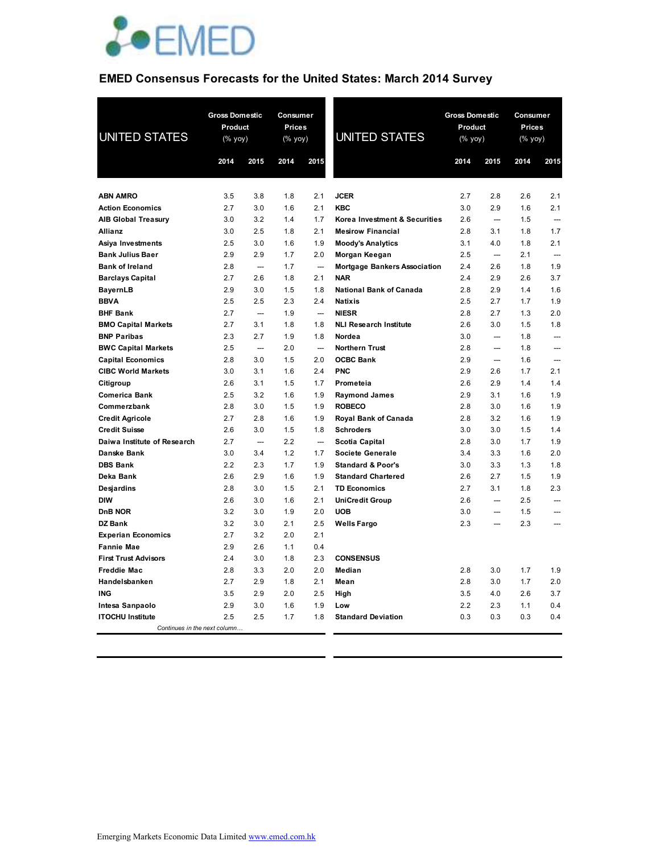

## **EMED Consensus Forecasts for the United States: March 2014 Survey**

| <b>UNITED STATES</b>                           | <b>Gross Domestic</b><br>Product<br>$(% \mathsf{Y}^{\prime }\mathsf{Y}^{\prime })$ (% $\mathsf{Y}^{\prime }\mathsf{Y}^{\prime })$ |                          | Consumer<br>Prices<br>(% yoy) |                          | <b>UNITED STATES</b>                  | <b>Gross Domestic</b><br><b>Product</b><br>(% yoy) |                          | Consumer<br><b>Prices</b><br>(% yoy) |                          |
|------------------------------------------------|-----------------------------------------------------------------------------------------------------------------------------------|--------------------------|-------------------------------|--------------------------|---------------------------------------|----------------------------------------------------|--------------------------|--------------------------------------|--------------------------|
|                                                | 2014                                                                                                                              | 2015                     | 2014                          | 2015                     |                                       | 2014                                               | 2015                     | 2014                                 | 2015                     |
|                                                |                                                                                                                                   |                          |                               |                          |                                       |                                                    |                          |                                      |                          |
| <b>ABN AMRO</b>                                | 3.5                                                                                                                               | 3.8                      | 1.8                           | 2.1                      | <b>JCER</b>                           | 2.7                                                | 2.8                      | 2.6                                  | 2.1                      |
| <b>Action Economics</b>                        | 2.7                                                                                                                               | 3.0                      | 1.6                           | 2.1                      | <b>KBC</b>                            | 3.0                                                | 2.9                      | 1.6                                  | 2.1                      |
| <b>AIB Global Treasury</b>                     | 3.0                                                                                                                               | 3.2                      | 1.4                           | 1.7                      | Korea Investment & Securities         | 2.6                                                | $\overline{\phantom{a}}$ | 1.5                                  |                          |
| <b>Allianz</b>                                 | 3.0                                                                                                                               | 2.5                      | 1.8                           | 2.1                      | <b>Mesirow Financial</b>              | 2.8                                                | 3.1                      | 1.8                                  | 1.7                      |
| Asiya Investments                              | 2.5                                                                                                                               | 3.0                      | 1.6                           | 1.9                      | <b>Moody's Analytics</b>              | 3.1                                                | 4.0                      | 1.8                                  | 2.1                      |
| <b>Bank Julius Baer</b>                        | 2.9                                                                                                                               | 2.9                      | 1.7                           | 2.0                      | Morgan Keegan                         | 2.5                                                | $\overline{\phantom{a}}$ | 2.1                                  | $\overline{\phantom{a}}$ |
| <b>Bank of Ireland</b>                         | 2.8                                                                                                                               | $\overline{\phantom{a}}$ | 1.7                           | $\overline{\phantom{a}}$ | <b>Mortgage Bankers Association</b>   | 2.4                                                | 2.6                      | 1.8                                  | 1.9                      |
| <b>Barclays Capital</b>                        | 2.7                                                                                                                               | 2.6                      | 1.8                           | 2.1                      | <b>NAR</b>                            | 2.4                                                | 2.9                      | 2.6                                  | 3.7                      |
| <b>BayernLB</b>                                | 2.9                                                                                                                               | 3.0                      | 1.5                           | 1.8                      | <b>National Bank of Canada</b>        | 2.8                                                | 2.9                      | 1.4                                  | 1.6                      |
| <b>BBVA</b>                                    | 2.5                                                                                                                               | 2.5                      | 2.3                           | 2.4                      | <b>Natixis</b>                        | 2.5                                                | 2.7                      | 1.7                                  | 1.9                      |
| <b>BHF Bank</b>                                | 2.7                                                                                                                               | $\sim$                   | 1.9                           | $\overline{\phantom{a}}$ | <b>NIESR</b>                          | 2.8                                                | 2.7                      | 1.3                                  | 2.0                      |
| <b>BMO Capital Markets</b>                     | 2.7                                                                                                                               | 3.1                      | 1.8                           | 1.8                      | <b>NLI Research Institute</b>         | 2.6                                                | 3.0                      | 1.5                                  | 1.8                      |
| <b>BNP Paribas</b>                             | 2.3                                                                                                                               | 2.7                      | 1.9                           | 1.8                      | Nordea                                | 3.0                                                | $\overline{\phantom{a}}$ | 1.8                                  | $\overline{\phantom{a}}$ |
| <b>BWC Capital Markets</b>                     | 2.5                                                                                                                               | $\overline{\phantom{a}}$ | 2.0                           | ---                      | <b>Northern Trust</b>                 | 2.8                                                |                          | 1.8                                  | $\overline{\phantom{a}}$ |
| <b>Capital Economics</b>                       | 2.8                                                                                                                               | 3.0                      | 1.5                           | 2.0                      | <b>OCBC Bank</b>                      | 2.9                                                | $\overline{\phantom{a}}$ | 1.6                                  |                          |
| <b>CIBC World Markets</b>                      | 3.0<br>2.6                                                                                                                        | 3.1                      | 1.6<br>1.5                    | 2.4                      | <b>PNC</b>                            | 2.9<br>2.6                                         | 2.6                      | 1.7                                  | 2.1<br>1.4               |
| Citigroup                                      | 2.5                                                                                                                               | 3.1                      |                               | 1.7<br>1.9               | Prometeia                             | 2.9                                                | 2.9<br>3.1               | 1.4<br>1.6                           | 1.9                      |
| <b>Comerica Bank</b><br>Commerzbank            | 2.8                                                                                                                               | 3.2<br>3.0               | 1.6<br>1.5                    | 1.9                      | <b>Raymond James</b><br><b>ROBECO</b> | 2.8                                                | 3.0                      | 1.6                                  | 1.9                      |
|                                                | 2.7                                                                                                                               | 2.8                      | 1.6                           | 1.9                      | Royal Bank of Canada                  | 2.8                                                | 3.2                      | 1.6                                  | 1.9                      |
| <b>Credit Agricole</b><br><b>Credit Suisse</b> | 2.6                                                                                                                               | 3.0                      | 1.5                           | 1.8                      | <b>Schroders</b>                      | 3.0                                                | 3.0                      | 1.5                                  | 1.4                      |
| Daiwa Institute of Research                    | 2.7                                                                                                                               | $\overline{\phantom{a}}$ | 2.2                           | $\overline{\phantom{a}}$ | Scotia Capital                        | 2.8                                                | 3.0                      | 1.7                                  | 1.9                      |
| Danske Bank                                    | 3.0                                                                                                                               | 3.4                      | 1.2                           | 1.7                      | <b>Societe Generale</b>               | 3.4                                                | 3.3                      | 1.6                                  | 2.0                      |
| <b>DBS Bank</b>                                | 2.2                                                                                                                               | 2.3                      | 1.7                           | 1.9                      | <b>Standard &amp; Poor's</b>          | 3.0                                                | 3.3                      | 1.3                                  | 1.8                      |
| Deka Bank                                      | 2.6                                                                                                                               | 2.9                      | 1.6                           | 1.9                      | <b>Standard Chartered</b>             | 2.6                                                | 2.7                      | 1.5                                  | 1.9                      |
| <b>Desjardins</b>                              | 2.8                                                                                                                               | 3.0                      | 1.5                           | 2.1                      | <b>TD Economics</b>                   | 2.7                                                | 3.1                      | 1.8                                  | 2.3                      |
| <b>DIW</b>                                     | 2.6                                                                                                                               | 3.0                      | 1.6                           | 2.1                      | <b>UniCredit Group</b>                | 2.6                                                | ---                      | 2.5                                  | $\overline{\phantom{a}}$ |
| DnB NOR                                        | 3.2                                                                                                                               | 3.0                      | 1.9                           | 2.0                      | <b>UOB</b>                            | 3.0                                                | $\overline{\phantom{a}}$ | 1.5                                  | $\overline{\phantom{a}}$ |
| <b>DZ Bank</b>                                 | 3.2                                                                                                                               | 3.0                      | 2.1                           | 2.5                      | Wells Fargo                           | 2.3                                                |                          | 2.3                                  | ---                      |
| <b>Experian Economics</b>                      | 2.7                                                                                                                               | 3.2                      | 2.0                           | 2.1                      |                                       |                                                    |                          |                                      |                          |
| <b>Fannie Mae</b>                              | 2.9                                                                                                                               | 2.6                      | 1.1                           | 0.4                      |                                       |                                                    |                          |                                      |                          |
| <b>First Trust Advisors</b>                    | 2.4                                                                                                                               | 3.0                      | 1.8                           | 2.3                      | <b>CONSENSUS</b>                      |                                                    |                          |                                      |                          |
| <b>Freddie Mac</b>                             | 2.8                                                                                                                               | 3.3                      | 2.0                           | 2.0                      | Median                                | 2.8                                                | 3.0                      | 1.7                                  | 1.9                      |
| Handelsbanken                                  | 2.7                                                                                                                               | 2.9                      | 1.8                           | 2.1                      | Mean                                  | 2.8                                                | 3.0                      | 1.7                                  | 2.0                      |
| <b>ING</b>                                     | 3.5                                                                                                                               | 2.9                      | 2.0                           | 2.5                      | High                                  | 3.5                                                | 4.0                      | 2.6                                  | 3.7                      |
| Intesa Sanpaolo                                | 2.9                                                                                                                               | 3.0                      | 1.6                           | 1.9                      | Low                                   | 2.2                                                | 2.3                      | 1.1                                  | 0.4                      |
| <b>ITOCHU Institute</b>                        | 2.5                                                                                                                               | 2.5                      | 1.7                           | 1.8                      | <b>Standard Deviation</b>             | 0.3                                                | 0.3                      | 0.3                                  | 0.4                      |
| Continues in the next column                   |                                                                                                                                   |                          |                               |                          |                                       |                                                    |                          |                                      |                          |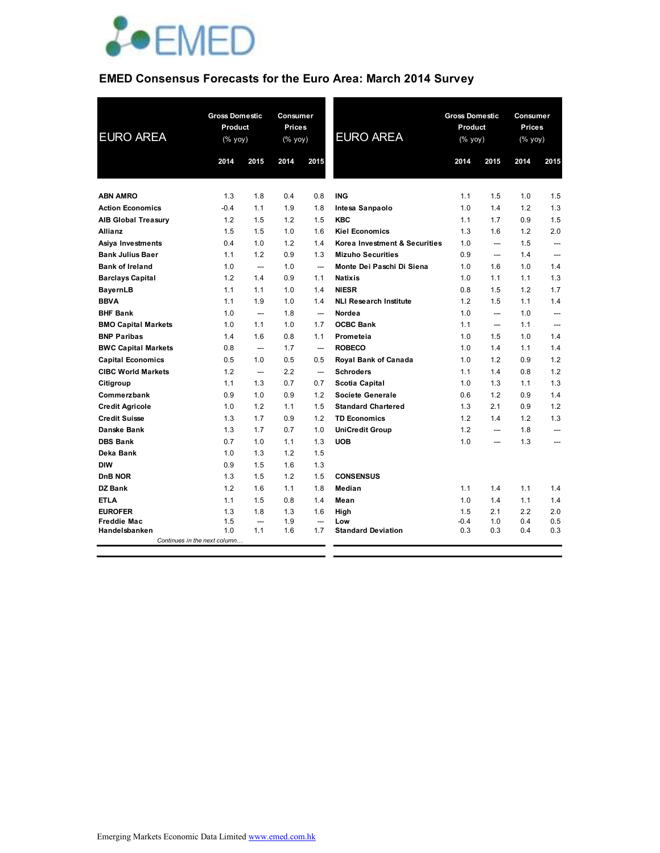

## **EMED Consensus Forecasts for the Euro Area: March 2014 Survey**

| <b>EURO AREA</b>           | <b>Gross Domestic</b><br>Product<br>(% yoy) |                          | Consumer<br><b>Prices</b><br>(% yoy) |                          | <b>EURO AREA</b>              |        | <b>Gross Domestic</b><br>Product<br>$(% \mathsf{y}\right)$ (% $\overline{\mathsf{y}\mathsf{y}}$ ) |      | Consumer<br><b>Prices</b><br>(% yoy) |  |
|----------------------------|---------------------------------------------|--------------------------|--------------------------------------|--------------------------|-------------------------------|--------|---------------------------------------------------------------------------------------------------|------|--------------------------------------|--|
|                            | 2014                                        | 2015                     | 2014                                 | 2015                     |                               | 2014   | 2015                                                                                              | 2014 | 2015                                 |  |
| <b>ABN AMRO</b>            | 1.3                                         | 1.8                      | 0.4                                  | 0.8                      | <b>ING</b>                    | 1.1    | 1.5                                                                                               | 1.0  | 1.5                                  |  |
| <b>Action Economics</b>    | $-0.4$                                      | 1.1                      | 1.9                                  | 1.8                      | Intesa Sanpaolo               | 1.0    | 1.4                                                                                               | 1.2  | 1.3                                  |  |
| <b>AIB Global Treasury</b> | 1.2                                         | 1.5                      | 1.2                                  | 1.5                      | <b>KBC</b>                    | 1.1    | 1.7                                                                                               | 0.9  | 1.5                                  |  |
| <b>Allianz</b>             | 1.5                                         | 1.5                      | 1.0                                  | 1.6                      | <b>Kiel Economics</b>         | 1.3    | 1.6                                                                                               | 1.2  | 2.0                                  |  |
| Asiya Investments          | 0.4                                         | 1.0                      | 1.2                                  | 1.4                      | Korea Investment & Securities | 1.0    | ---                                                                                               | 1.5  |                                      |  |
| <b>Bank Julius Baer</b>    | 1.1                                         | 1.2                      | 0.9                                  | 1.3                      | <b>Mizuho Securities</b>      | 0.9    | $\overline{\phantom{a}}$                                                                          | 1.4  | $\overline{\phantom{a}}$             |  |
| <b>Bank of Ireland</b>     | 1.0                                         | $\overline{\phantom{a}}$ | 1.0                                  | $\overline{\phantom{a}}$ | Monte Dei Paschi Di Siena     | 1.0    | 1.6                                                                                               | 1.0  | 1.4                                  |  |
| <b>Barclays Capital</b>    | 1.2                                         | 1.4                      | 0.9                                  | 1.1                      | <b>Natixis</b>                | 1.0    | 1.1                                                                                               | 1.1  | 1.3                                  |  |
| <b>BayernLB</b>            | 1.1                                         | 1.1                      | 1.0                                  | 1.4                      | <b>NIESR</b>                  | 0.8    | 1.5                                                                                               | 1.2  | 1.7                                  |  |
| <b>BBVA</b>                | 1.1                                         | 1.9                      | 1.0                                  | 1.4                      | <b>NLI Research Institute</b> | 1.2    | 1.5                                                                                               | 1.1  | 1.4                                  |  |
| <b>BHF Bank</b>            | 1.0                                         | $\overline{\phantom{a}}$ | 1.8                                  | $\overline{\phantom{a}}$ | Nordea                        | 1.0    | $\overline{\phantom{a}}$                                                                          | 1.0  | $\overline{\phantom{a}}$             |  |
| <b>BMO Capital Markets</b> | 1.0                                         | 1.1                      | 1.0                                  | 1.7                      | <b>OCBC Bank</b>              | 1.1    |                                                                                                   | 1.1  | ---                                  |  |
| <b>BNP Paribas</b>         | 1.4                                         | 1.6                      | 0.8                                  | 1.1                      | Prometeia                     | 1.0    | 1.5                                                                                               | 1.0  | 1.4                                  |  |
| <b>BWC Capital Markets</b> | 0.8                                         | $\qquad \qquad \cdots$   | 1.7                                  | $\overline{\phantom{a}}$ | <b>ROBECO</b>                 | 1.0    | 1.4                                                                                               | 1.1  | 1.4                                  |  |
| <b>Capital Economics</b>   | 0.5                                         | 1.0                      | 0.5                                  | 0.5                      | Royal Bank of Canada          | 1.0    | 1.2                                                                                               | 0.9  | 1.2                                  |  |
| <b>CIBC World Markets</b>  | 1.2                                         | $\qquad \qquad \cdots$   | 2.2                                  | $\overline{\phantom{a}}$ | <b>Schroders</b>              | 1.1    | 1.4                                                                                               | 0.8  | 1.2                                  |  |
| Citigroup                  | 1.1                                         | 1.3                      | 0.7                                  | 0.7                      | Scotia Capital                | 1.0    | 1.3                                                                                               | 1.1  | 1.3                                  |  |
| Commerzbank                | 0.9                                         | 1.0                      | 0.9                                  | 1.2                      | Societe Generale              | 0.6    | 1.2                                                                                               | 0.9  | 1.4                                  |  |
| <b>Credit Agricole</b>     | 1.0                                         | 1.2                      | 1.1                                  | 1.5                      | <b>Standard Chartered</b>     | 1.3    | 2.1                                                                                               | 0.9  | 1.2                                  |  |
| <b>Credit Suisse</b>       | 1.3                                         | 1.7                      | 0.9                                  | 1.2                      | <b>TD Economics</b>           | 1.2    | 1.4                                                                                               | 1.2  | 1.3                                  |  |
| Danske Bank                | 1.3                                         | 1.7                      | 0.7                                  | 1.0                      | <b>UniCredit Group</b>        | 1.2    |                                                                                                   | 1.8  |                                      |  |
| <b>DBS Bank</b>            | 0.7                                         | 1.0                      | 1.1                                  | 1.3                      | <b>UOB</b>                    | 1.0    |                                                                                                   | 1.3  |                                      |  |
| Deka Bank                  | 1.0                                         | 1.3                      | 1.2                                  | 1.5                      |                               |        |                                                                                                   |      |                                      |  |
| <b>DIW</b>                 | 0.9                                         | 1.5                      | 1.6                                  | 1.3                      |                               |        |                                                                                                   |      |                                      |  |
| D <sub>n</sub> B NOR       | 1.3                                         | 1.5                      | 1.2                                  | 1.5                      | <b>CONSENSUS</b>              |        |                                                                                                   |      |                                      |  |
| <b>DZ Bank</b>             | 1.2                                         | 1.6                      | 1.1                                  | 1.8                      | Median                        | 1.1    | 1.4                                                                                               | 1.1  | 1.4                                  |  |
| <b>ETLA</b>                | 1.1                                         | 1.5                      | 0.8                                  | 1.4                      | Mean                          | 1.0    | 1.4                                                                                               | 1.1  | 1.4                                  |  |
| <b>EUROFER</b>             | 1.3                                         | 1.8                      | 1.3                                  | 1.6                      | High                          | 1.5    | 2.1                                                                                               | 2.2  | 2.0                                  |  |
| <b>Freddie Mac</b>         | 1.5                                         |                          | 1.9                                  | ---                      | Low                           | $-0.4$ | 1.0                                                                                               | 0.4  | 0.5                                  |  |
| Handelsbanken              | 1.0<br>Continues in the next column         | 1.1                      | 1.6                                  | 1.7                      | <b>Standard Deviation</b>     | 0.3    | 0.3                                                                                               | 0.4  | 0.3                                  |  |
|                            |                                             |                          |                                      |                          |                               |        |                                                                                                   |      |                                      |  |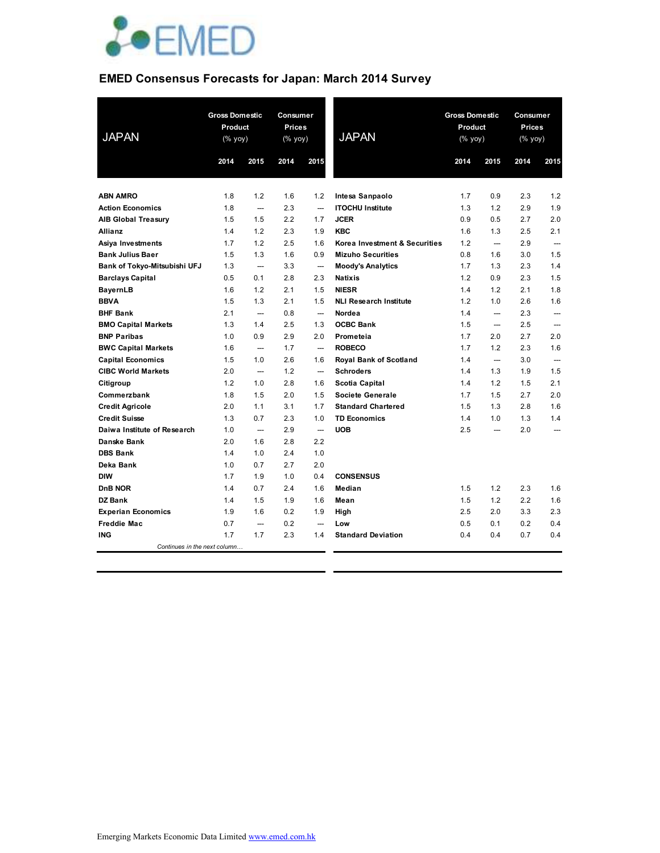

### **EMED Consensus Forecasts for Japan: March 2014 Survey**

| <b>JAPAN</b>                 | <b>Gross Domestic</b><br>Product<br>$(% \mathsf{Y}^{\prime }\mathsf{Y}^{\prime }\mathsf{Y}^{\prime })$ |                          | Consumer<br><b>Prices</b><br>(% yoy) |                          | <b>JAPAN</b>                  | <b>Gross Domestic</b><br>Product<br>(% yoy) |                          | Consumer<br><b>Prices</b><br>(% yoy) |                          |
|------------------------------|--------------------------------------------------------------------------------------------------------|--------------------------|--------------------------------------|--------------------------|-------------------------------|---------------------------------------------|--------------------------|--------------------------------------|--------------------------|
|                              | 2014                                                                                                   | 2015                     | 2014                                 | 2015                     |                               | 2014                                        | 2015                     | 2014                                 | 2015                     |
|                              |                                                                                                        |                          |                                      |                          |                               |                                             |                          |                                      |                          |
| <b>ABN AMRO</b>              | 1.8                                                                                                    | 1.2                      | 1.6                                  | 1.2                      | Intesa Sanpaolo               | 1.7                                         | 0.9                      | 2.3                                  | 1.2                      |
| <b>Action Economics</b>      | 1.8                                                                                                    | ---                      | 2.3                                  | ---                      | <b>ITOCHU Institute</b>       | 1.3                                         | 1.2                      | 2.9                                  | 1.9                      |
| <b>AIB Global Treasury</b>   | 1.5                                                                                                    | 1.5                      | 2.2                                  | 1.7                      | <b>JCER</b>                   | 0.9                                         | 0.5                      | 2.7                                  | 2.0                      |
| <b>Allianz</b>               | 1.4                                                                                                    | 1.2                      | 2.3                                  | 1.9                      | <b>KBC</b>                    | 1.6                                         | 1.3                      | 2.5                                  | 2.1                      |
| Asiya Investments            | 1.7                                                                                                    | 1.2                      | 2.5                                  | 1.6                      | Korea Investment & Securities | 1.2                                         | $\overline{\phantom{a}}$ | 2.9                                  | $\overline{\phantom{0}}$ |
| <b>Bank Julius Baer</b>      | 1.5                                                                                                    | 1.3                      | 1.6                                  | 0.9                      | <b>Mizuho Securities</b>      | 0.8                                         | 1.6                      | 3.0                                  | 1.5                      |
| Bank of Tokyo-Mitsubishi UFJ | 1.3                                                                                                    | $\overline{\phantom{a}}$ | 3.3                                  | $\hspace{0.05cm} \cdots$ | <b>Moody's Analytics</b>      | 1.7                                         | 1.3                      | 2.3                                  | 1.4                      |
| <b>Barclays Capital</b>      | 0.5                                                                                                    | 0.1                      | 2.8                                  | 2.3                      | <b>Natixis</b>                | 1.2                                         | 0.9                      | 2.3                                  | 1.5                      |
| <b>BayernLB</b>              | 1.6                                                                                                    | 1.2                      | 2.1                                  | 1.5                      | <b>NIESR</b>                  | 1.4                                         | 1.2                      | 2.1                                  | 1.8                      |
| <b>BBVA</b>                  | 1.5                                                                                                    | 1.3                      | 2.1                                  | 1.5                      | <b>NLI Research Institute</b> | 1.2                                         | 1.0                      | 2.6                                  | 1.6                      |
| <b>BHF Bank</b>              | 2.1                                                                                                    | $\overline{\phantom{a}}$ | 0.8                                  | $\overline{\phantom{a}}$ | Nordea                        | 1.4                                         | $\overline{\phantom{a}}$ | 2.3                                  | ---                      |
| <b>BMO Capital Markets</b>   | 1.3                                                                                                    | 1.4                      | 2.5                                  | 1.3                      | <b>OCBC Bank</b>              | 1.5                                         | $\overline{\phantom{a}}$ | 2.5                                  | $\overline{a}$           |
| <b>BNP Paribas</b>           | 1.0                                                                                                    | 0.9                      | 2.9                                  | 2.0                      | Prometeia                     | 1.7                                         | 2.0                      | 2.7                                  | 2.0                      |
| <b>BWC Capital Markets</b>   | 1.6                                                                                                    | $\overline{\phantom{a}}$ | 1.7                                  | ---                      | <b>ROBECO</b>                 | 1.7                                         | 1.2                      | 2.3                                  | 1.6                      |
| <b>Capital Economics</b>     | 1.5                                                                                                    | 1.0                      | 2.6                                  | 1.6                      | Royal Bank of Scotland        | 1.4                                         | $\overline{\phantom{a}}$ | 3.0                                  | $\overline{\phantom{a}}$ |
| <b>CIBC World Markets</b>    | 2.0                                                                                                    | $\overline{\phantom{a}}$ | 1.2                                  | $\overline{\phantom{a}}$ | <b>Schroders</b>              | 1.4                                         | 1.3                      | 1.9                                  | 1.5                      |
| Citigroup                    | 1.2                                                                                                    | 1.0                      | 2.8                                  | 1.6                      | Scotia Capital                | 1.4                                         | 1.2                      | 1.5                                  | 2.1                      |
| Commerzbank                  | 1.8                                                                                                    | 1.5                      | 2.0                                  | 1.5                      | Societe Generale              | 1.7                                         | 1.5                      | 2.7                                  | 2.0                      |
| <b>Credit Agricole</b>       | 2.0                                                                                                    | 1.1                      | 3.1                                  | 1.7                      | <b>Standard Chartered</b>     | 1.5                                         | 1.3                      | 2.8                                  | 1.6                      |
| <b>Credit Suisse</b>         | 1.3                                                                                                    | 0.7                      | 2.3                                  | 1.0                      | <b>TD Economics</b>           | 1.4                                         | 1.0                      | 1.3                                  | 1.4                      |
| Daiwa Institute of Research  | 1.0                                                                                                    |                          | 2.9                                  | $\overline{\phantom{a}}$ | <b>UOB</b>                    | 2.5                                         | $\sim$                   | 2.0                                  | ---                      |
| Danske Bank                  | 2.0                                                                                                    | 1.6                      | 2.8                                  | 2.2                      |                               |                                             |                          |                                      |                          |
| <b>DBS Bank</b>              | 1.4                                                                                                    | 1.0                      | 2.4                                  | 1.0                      |                               |                                             |                          |                                      |                          |
| Deka Bank                    | 1.0                                                                                                    | 0.7                      | 2.7                                  | 2.0                      |                               |                                             |                          |                                      |                          |
| <b>DIW</b>                   | 1.7                                                                                                    | 1.9                      | 1.0                                  | 0.4                      | <b>CONSENSUS</b>              |                                             |                          |                                      |                          |
| <b>DnB NOR</b>               | 1.4                                                                                                    | 0.7                      | 2.4                                  | 1.6                      | Median                        | 1.5                                         | 1.2                      | 2.3                                  | 1.6                      |
| DZ Bank                      | 1.4                                                                                                    | 1.5                      | 1.9                                  | 1.6                      | Mean                          | 1.5                                         | 1.2                      | 2.2                                  | 1.6                      |
| <b>Experian Economics</b>    | 1.9                                                                                                    | 1.6                      | 0.2                                  | 1.9                      | High                          | 2.5                                         | 2.0                      | 3.3                                  | 2.3                      |
| <b>Freddie Mac</b>           | 0.7                                                                                                    | $\sim$                   | 0.2                                  | $\overline{\phantom{a}}$ | Low                           | 0.5                                         | 0.1                      | 0.2                                  | 0.4                      |
| ING                          | 1.7                                                                                                    | 1.7                      | 2.3                                  | 1.4                      | <b>Standard Deviation</b>     | 0.4                                         | 0.4                      | 0.7                                  | 0.4                      |
| Continues in the next column |                                                                                                        |                          |                                      |                          |                               |                                             |                          |                                      |                          |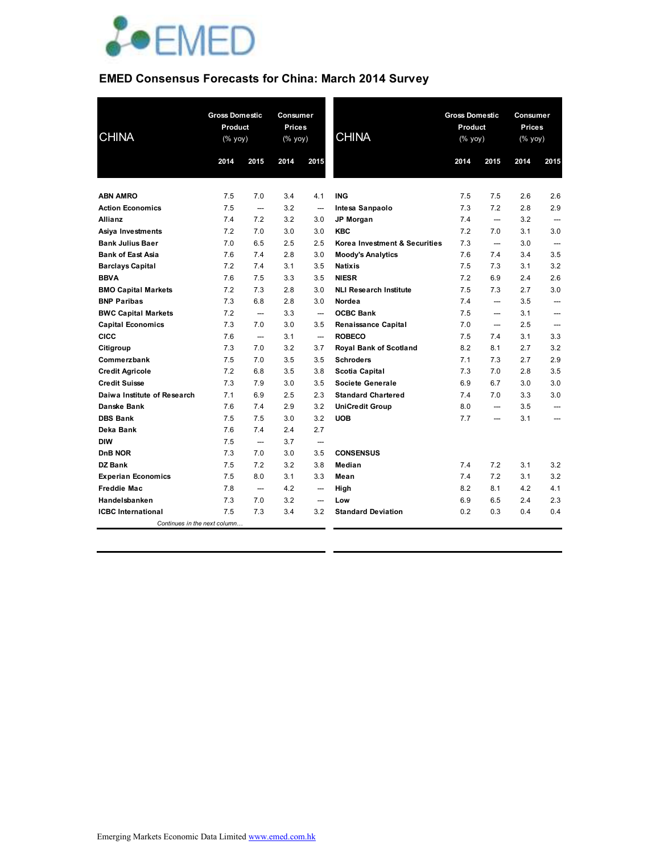

# **EMED Consensus Forecasts for China: March 2014 Survey**

| <b>CHINA</b>                 | <b>Gross Domestic</b><br>Product<br>$(% \mathsf{Y}^{\prime }\mathsf{Y}^{\prime }\mathsf{Y}^{\prime })$<br>2014 | 2015                     | 2014 | Consumer<br><b>Gross Domestic</b><br><b>Prices</b><br>Product<br><b>CHINA</b><br>(% yoy)<br>(% yoy)<br>2015<br>2014 |                               | 2015 | Consumer<br><b>Prices</b><br>(% yoy)<br>2014<br>2015 |     |                          |
|------------------------------|----------------------------------------------------------------------------------------------------------------|--------------------------|------|---------------------------------------------------------------------------------------------------------------------|-------------------------------|------|------------------------------------------------------|-----|--------------------------|
|                              |                                                                                                                |                          |      |                                                                                                                     |                               |      |                                                      |     |                          |
| <b>ABN AMRO</b>              | 7.5                                                                                                            | 7.0                      | 3.4  | 4.1                                                                                                                 | <b>ING</b>                    | 7.5  | 7.5                                                  | 2.6 | 2.6                      |
| <b>Action Economics</b>      | 7.5                                                                                                            | $\overline{\phantom{a}}$ | 3.2  | ---                                                                                                                 | Intesa Sanpaolo               | 7.3  | 7.2                                                  | 2.8 | 2.9                      |
| <b>Allianz</b>               | 7.4                                                                                                            | 7.2                      | 3.2  | 3.0                                                                                                                 | JP Morgan                     | 7.4  | $\overline{\phantom{a}}$                             | 3.2 | $\overline{\phantom{a}}$ |
| Asiya Investments            | 7.2                                                                                                            | 7.0                      | 3.0  | 3.0                                                                                                                 | <b>KBC</b>                    | 7.2  | 7.0                                                  | 3.1 | 3.0                      |
| <b>Bank Julius Baer</b>      | 7.0                                                                                                            | 6.5                      | 2.5  | 2.5                                                                                                                 | Korea Investment & Securities | 7.3  | $\overline{\phantom{a}}$                             | 3.0 | ---                      |
| <b>Bank of East Asia</b>     | 7.6                                                                                                            | 7.4                      | 2.8  | 3.0                                                                                                                 | <b>Moody's Analytics</b>      | 7.6  | 7.4                                                  | 3.4 | 3.5                      |
| <b>Barclays Capital</b>      | 7.2                                                                                                            | 7.4                      | 3.1  | 3.5                                                                                                                 | <b>Natixis</b>                | 7.5  | 7.3                                                  | 3.1 | 3.2                      |
| <b>BBVA</b>                  | 7.6                                                                                                            | 7.5                      | 3.3  | 3.5                                                                                                                 | <b>NIESR</b>                  | 7.2  | 6.9                                                  | 2.4 | 2.6                      |
| <b>BMO Capital Markets</b>   | 7.2                                                                                                            | 7.3                      | 2.8  | 3.0                                                                                                                 | <b>NLI Research Institute</b> | 7.5  | 7.3                                                  | 2.7 | 3.0                      |
| <b>BNP Paribas</b>           | 7.3                                                                                                            | 6.8                      | 2.8  | 3.0                                                                                                                 | Nordea                        | 7.4  | ---                                                  | 3.5 |                          |
| <b>BWC Capital Markets</b>   | 7.2                                                                                                            |                          | 3.3  | $\overline{\phantom{a}}$                                                                                            | <b>OCBC Bank</b>              | 7.5  | ---                                                  | 3.1 |                          |
| <b>Capital Economics</b>     | 7.3                                                                                                            | 7.0                      | 3.0  | 3.5                                                                                                                 | Renaissance Capital           | 7.0  | $\overline{\phantom{a}}$                             | 2.5 |                          |
| <b>CICC</b>                  | 7.6                                                                                                            | $\overline{\phantom{a}}$ | 3.1  | ---                                                                                                                 | <b>ROBECO</b>                 | 7.5  | 7.4                                                  | 3.1 | 3.3                      |
| Citigroup                    | 7.3                                                                                                            | 7.0                      | 3.2  | 3.7                                                                                                                 | Royal Bank of Scotland        | 8.2  | 8.1                                                  | 2.7 | 3.2                      |
| Commerzbank                  | 7.5                                                                                                            | 7.0                      | 3.5  | 3.5                                                                                                                 | <b>Schroders</b>              | 7.1  | 7.3                                                  | 2.7 | 2.9                      |
| <b>Credit Agricole</b>       | 7.2                                                                                                            | 6.8                      | 3.5  | 3.8                                                                                                                 | Scotia Capital                | 7.3  | 7.0                                                  | 2.8 | 3.5                      |
| <b>Credit Suisse</b>         | 7.3                                                                                                            | 7.9                      | 3.0  | 3.5                                                                                                                 | Societe Generale              | 6.9  | 6.7                                                  | 3.0 | 3.0                      |
| Daiwa Institute of Research  | 7.1                                                                                                            | 6.9                      | 2.5  | 2.3                                                                                                                 | <b>Standard Chartered</b>     | 7.4  | 7.0                                                  | 3.3 | 3.0                      |
| <b>Danske Bank</b>           | 7.6                                                                                                            | 7.4                      | 2.9  | 3.2                                                                                                                 | <b>UniCredit Group</b>        | 8.0  | ---                                                  | 3.5 | ---                      |
| <b>DBS Bank</b>              | 7.5                                                                                                            | 7.5                      | 3.0  | 3.2                                                                                                                 | <b>UOB</b>                    | 7.7  | ---                                                  | 3.1 | ---                      |
| Deka Bank                    | 7.6                                                                                                            | 7.4                      | 2.4  | 2.7                                                                                                                 |                               |      |                                                      |     |                          |
| <b>DIW</b>                   | 7.5                                                                                                            | $\overline{\phantom{a}}$ | 3.7  | $\overline{\phantom{a}}$                                                                                            |                               |      |                                                      |     |                          |
| DnB NOR                      | 7.3                                                                                                            | 7.0                      | 3.0  | 3.5                                                                                                                 | <b>CONSENSUS</b>              |      |                                                      |     |                          |
| <b>DZ Bank</b>               | 7.5                                                                                                            | 7.2                      | 3.2  | 3.8                                                                                                                 | Median                        | 7.4  | 7.2                                                  | 3.1 | 3.2                      |
| <b>Experian Economics</b>    | 7.5                                                                                                            | 8.0                      | 3.1  | 3.3                                                                                                                 | Mean                          | 7.4  | 7.2                                                  | 3.1 | 3.2                      |
| <b>Freddie Mac</b>           | 7.8                                                                                                            | $\overline{\phantom{a}}$ | 4.2  | $\overline{\phantom{a}}$                                                                                            | High                          | 8.2  | 8.1                                                  | 4.2 | 4.1                      |
| Handelsbanken                | 7.3                                                                                                            | 7.0                      | 3.2  | $\overline{\phantom{a}}$                                                                                            | Low                           | 6.9  | 6.5                                                  | 2.4 | 2.3                      |
| <b>ICBC</b> International    | 7.5                                                                                                            | 7.3                      | 3.4  | 3.2                                                                                                                 | <b>Standard Deviation</b>     | 0.2  | 0.3                                                  | 0.4 | 0.4                      |
| Continues in the next column |                                                                                                                |                          |      |                                                                                                                     |                               |      |                                                      |     |                          |